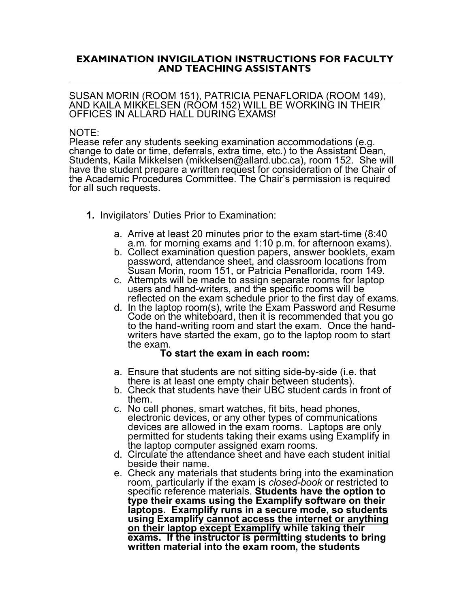## **EXAMINATION INVIGILATION INSTRUCTIONS FOR FACULTY AND TEACHING ASSISTANTS**

SUSAN MORIN (ROOM 151), PATRICIA PENAFLORIDA (ROOM 149), AND KAILA MIKKELSEN (ROOM 152) WILL BE WORKING IN THEIR OFFICES IN ALLARD HALL DURING EXAMS!

## NOTE:

Please refer any students seeking examination accommodations (e.g. change to date or time, deferrals, extra time, etc.) to the Assistant Dean, Students, Kaila Mikkelsen (mikkelsen@allard.ubc.ca), room 152. She will have the student prepare a written request for consideration of the Chair of the Academic Procedures Committee. The Chair's permission is required for all such requests.

- **1.** Invigilators' Duties Prior to Examination:
	- a. Arrive at least 20 minutes prior to the exam start-time (8:40 a.m. for morning exams and 1:10 p.m. for afternoon exams).
	- b. Collect examination question papers, answer booklets, exam password, attendance sheet, and classroom locations from Susan Morin, room 151, or Patricia Penaflorida, room 149. c. Attempts will be made to assign separate rooms for laptop
	- users and hand-writers, and the specific rooms will be reflected on the exam schedule prior to the first day of exams.
	- d. In the laptop room(s), write the Exam Password and Resume Code on the whiteboard, then it is recommended that you go to the hand-writing room and start the exam. Once the hand- writers have started the exam, go to the laptop room to start the exam.

## **To start the exam in each room:**

- a. Ensure that students are not sitting side-by-side (i.e. that there is at least one empty chair between students).
- b. Check that students have their UBC student cards in front of
- c. No cell phones, smart watches, fit bits, head phones, electronic devices, or any other types of communications devices are allowed in the exam rooms. Laptops are only permitted for students taking their exams using Examplify in the laptop computer assigned exam rooms.
- d. Circulate the attendance sheet and have each student initial beside their name.
- e. Check any materials that students bring into the examination room, particularly if the exam is *closed-book* or restricted to specific reference materials. **Students have the option to type their exams using the Examplify software on their laptops. Examplify runs in a secure mode, so students using Examplify cannot access the internet or anything on their laptop except Examplify while taking their exams. If the instructor is permitting students to bring written material into the exam room, the students**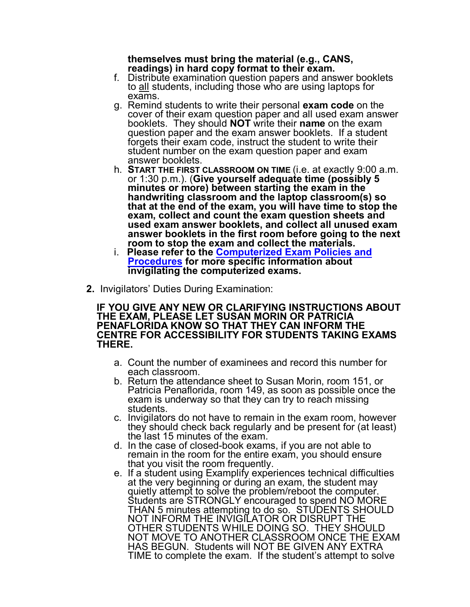## **themselves must bring the material (e.g., CANS,**

- f. Distribute examination question papers and answer booklets to all students, including those who are using laptops for exams.
- g. Remind students to write their personal **exam code** on the cover of their exam question paper and all used exam answer booklets. They should **NOT** write their **name** on the exam question paper and the exam answer booklets. If a student forgets their exam code, instruct the student to write their student number on the exam question paper and exam answer booklets.
- h. **START THE FIRST CLASSROOM ON TIME** (i.e. at exactly 9:00 a.m. or 1:30 p.m.). (**Give yourself adequate time (possibly 5 minutes or more) between starting the exam in the handwriting classroom and the laptop classroom(s) so that at the end of the exam, you will have time to stop the exam, collect and count the exam question sheets and used exam answer booklets, and collect all unused exam answer booklets in the first room before going to the next**
- **t.** Please refer to the **Computerized Exam Policies and [Procedures](https://allard.ubc.ca/student-portal/registration-courses-exams/exam-policies-computerized-exams) for more specific information about invigilating the computerized exams.**
- **2.** Invigilators' Duties During Examination:

**IF YOU GIVE ANY NEW OR CLARIFYING INSTRUCTIONS ABOUT THE EXAM, PLEASE LET SUSAN MORIN OR PATRICIA PENAFLORIDA KNOW SO THAT THEY CAN INFORM THE CENTRE FOR ACCESSIBILITY FOR STUDENTS TAKING EXAMS THERE.**

- a. Count the number of examinees and record this number for each classroom.
- b. Return the attendance sheet to Susan Morin, room 151, or Patricia Penaflorida, room 149, as soon as possible once the exam is underway so that they can try to reach missing students.
- c. Invigilators do not have to remain in the exam room, however they should check back regularly and be present for (at least) the last 15 minutes of the exam.
- d. In the case of closed-book exams, if you are not able to remain in the room for the entire exam, you should ensure that you visit the room frequently.
- e. If a student using Examplify experiences technical difficulties at the very beginning or during an exam, the student may quietly attempt to solve the problem/reboot the computer. Students are STRONGLY encouraged to spend NO MORE THAN 5 minutes attempting to do so. STUDENTS SHOULD NOT INFORM THE INVIGILATOR OR DISRUPT THE OTHER STUDENTS WHILE DOING SO. THEY SHOULD NOT MOVE TO ANOTHER CLASSROOM ONCE THE EXAM HAS BEGUN. Students will NOT BE GIVEN ANY EXTRA TIME to complete the exam. If the student's attempt to solve